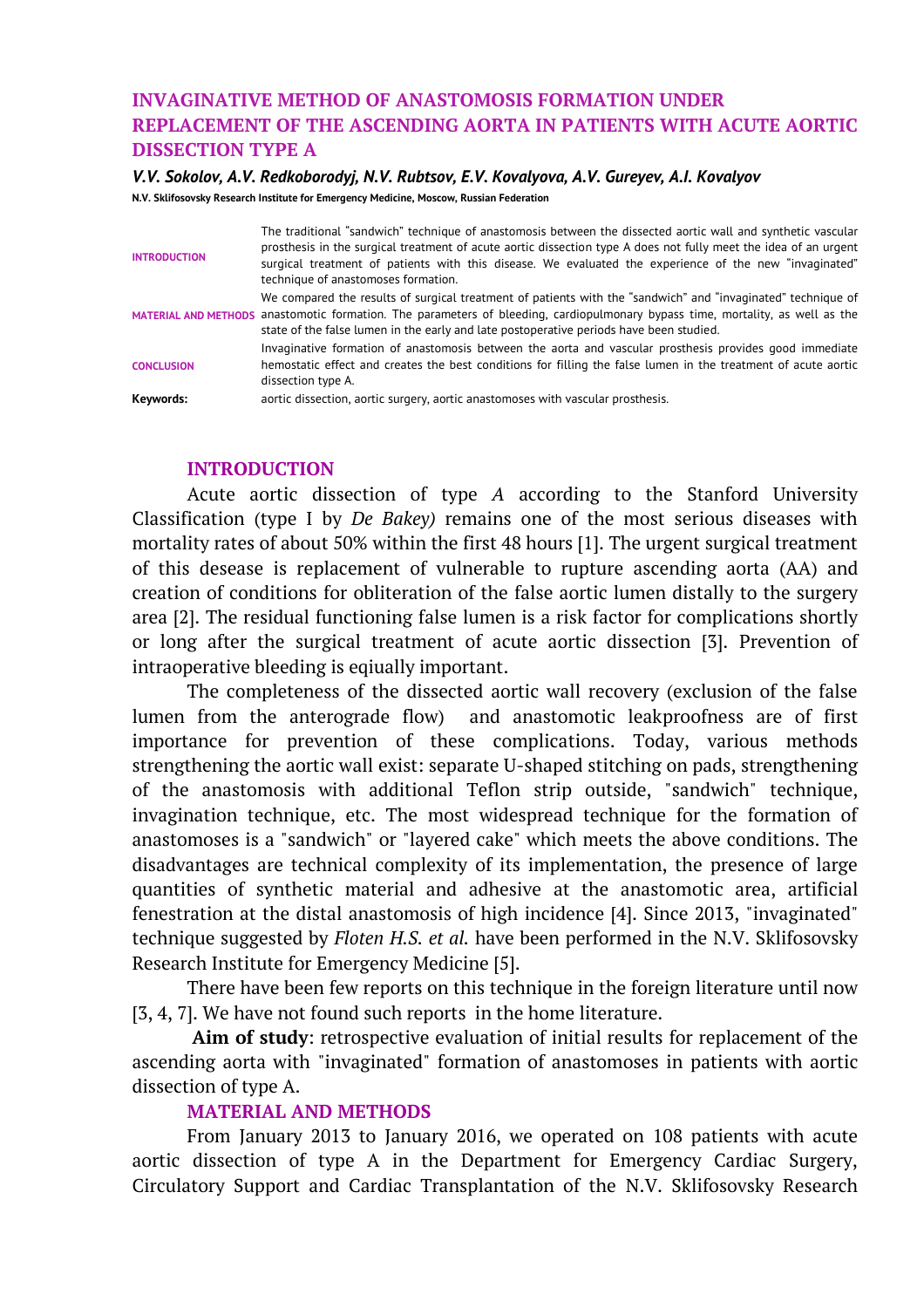# **INVAGINATIVE METHOD OF ANASTOMOSIS FORMATION UNDER REPLACEMENT OF THE ASCENDING AORTA IN PATIENTS WITH ACUTE AORTIC DISSECTION TYPE A**

#### *V.V. Sokolov, A.V. Redkoborodyj, N.V. Rubtsov, E.V. Kovalyova, A.V. Gureyev, A.I. Kovalyov*

**N.V. Sklifosovsky Research Institute for Emergency Medicine, Moscow, Russian Federation**

| <b>INTRODUCTION</b> | The traditional "sandwich" technique of anastomosis between the dissected aortic wall and synthetic vascular<br>prosthesis in the surgical treatment of acute aortic dissection type A does not fully meet the idea of an urgent<br>surgical treatment of patients with this disease. We evaluated the experience of the new "invaginated"<br>technique of anastomoses formation. |
|---------------------|-----------------------------------------------------------------------------------------------------------------------------------------------------------------------------------------------------------------------------------------------------------------------------------------------------------------------------------------------------------------------------------|
|                     | We compared the results of surgical treatment of patients with the "sandwich" and "invaginated" technique of<br>MATERIAL AND METHODS anastomotic formation. The parameters of bleeding, cardiopulmonary bypass time, mortality, as well as the<br>state of the false lumen in the early and late postoperative periods have been studied.                                         |
| <b>CONCLUSION</b>   | Invaginative formation of anastomosis between the aorta and vascular prosthesis provides good immediate<br>hemostatic effect and creates the best conditions for filling the false lumen in the treatment of acute aortic<br>dissection type A.                                                                                                                                   |
| Keywords:           | aortic dissection, aortic surgery, aortic anastomoses with vascular prosthesis.                                                                                                                                                                                                                                                                                                   |

#### **INTRODUCTION**

Acute aortic dissection of type *A* according to the Stanford University Classification (type I by *De Bakey)* remains one of the most serious diseases with mortality rates of about 50% within the first 48 hours [1]. The urgent surgical treatment of this desease is replacement of vulnerable to rupture ascending aorta (AA) and creation of conditions for obliteration of the false aortic lumen distally to the surgery area [2]. The residual functioning false lumen is a risk factor for complications shortly or long after the surgical treatment of acute aortic dissection [3]. Prevention of intraoperative bleeding is eqiually important.

The completeness of the dissected aortic wall recovery (exclusion of the false lumen from the anterograde flow) and anastomotic leakproofness are of first importance for prevention of these complications. Today, various methods strengthening the aortic wall exist: separate U-shaped stitching on pads, strengthening of the anastomosis with additional Teflon strip outside, "sandwich" technique, invagination technique, etc. The most widespread technique for the formation of anastomoses is a "sandwich" or "layered cake" which meets the above conditions. The disadvantages are technical complexity of its implementation, the presence of large quantities of synthetic material and adhesive at the anastomotic area, artificial fenestration at the distal anastomosis of high incidence [4]. Since 2013, "invaginated" technique suggested by *Floten H.S. et al.* have been performed in the N.V. Sklifosovsky Research Institute for Emergency Medicine [5].

There have been few reports on this technique in the foreign literature until now [3, 4, 7]. We have not found such reports in the home literature.

**Aim of study**: retrospective evaluation of initial results for replacement of the ascending aorta with "invaginated" formation of anastomoses in patients with aortic dissection of type A.

### **MATERIAL AND METHODS**

From January 2013 to January 2016, we operated on 108 patients with acute aortic dissection of type A in the Department for Emergency Cardiac Surgery, Circulatory Support and Cardiac Transplantation of the N.V. Sklifosovsky Research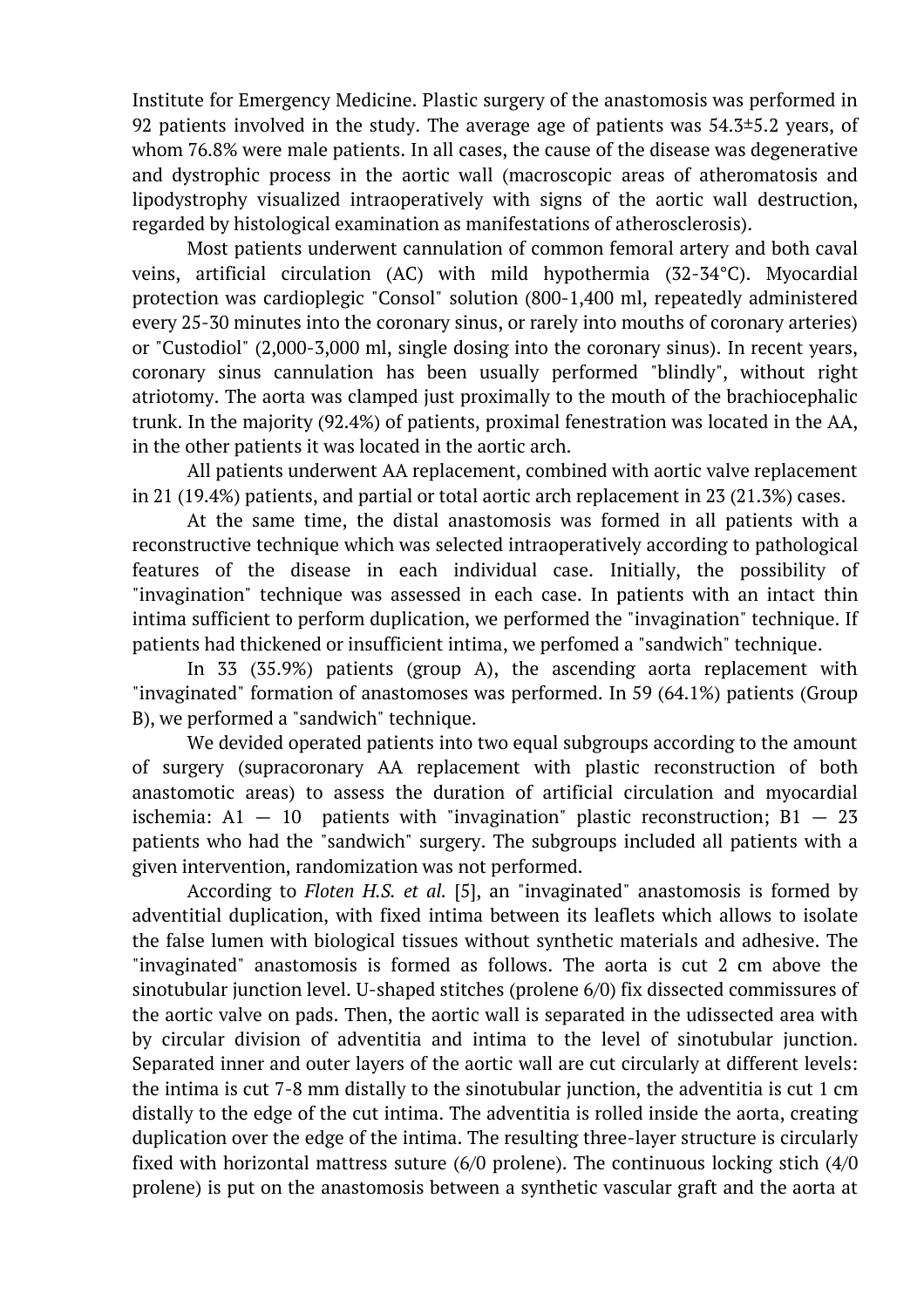Institute for Emergency Medicine. Plastic surgery of the anastomosis was performed in 92 patients involved in the study. The average age of patients was  $54.3\pm5.2$  years, of whom 76.8% were male patients. In all cases, the cause of the disease was degenerative and dystrophic process in the aortic wall (macroscopic areas of atheromatosis and lipodystrophy visualized intraoperatively with signs of the aortic wall destruction, regarded by histological examination as manifestations of atherosclerosis).

Most patients underwent cannulation of common femoral artery and both caval veins, artificial circulation (AC) with mild hypothermia (32-34°C). Myocardial protection was cardioplegic "Consol" solution (800-1,400 ml, repeatedly administered every 25-30 minutes into the coronary sinus, or rarely into mouths of coronary arteries) or "Custodiol" (2,000-3,000 ml, single dosing into the coronary sinus). In recent years, coronary sinus cannulation has been usually performed "blindly", without right atriotomy. The aorta was clamped just proximally to the mouth of the brachiocephalic trunk. In the majority (92.4%) of patients, proximal fenestration was located in the AA, in the other patients it was located in the aortic arch.

All patients underwent AA replacement, combined with aortic valve replacement in 21 (19.4%) patients, and partial or total aortic arch replacement in 23 (21.3%) cases.

At the same time, the distal anastomosis was formed in all patients with a reconstructive technique which was selected intraoperatively according to pathological features of the disease in each individual case. Initially, the possibility of "invagination" technique was assessed in each case. In patients with an intact thin intima sufficient to perform duplication, we performed the "invagination" technique. If patients had thickened or insufficient intima, we perfomed a "sandwich" technique.

In 33 (35.9%) patients (group A), the ascending aorta replacement with "invaginated" formation of anastomoses was performed. In 59 (64.1%) patients (Group B), we performed a "sandwich" technique.

We devided operated patients into two equal subgroups according to the amount of surgery (supracoronary AA replacement with plastic reconstruction of both anastomotic areas) to assess the duration of artificial circulation and myocardial ischemia:  $A1 - 10$  patients with "invagination" plastic reconstruction;  $B1 - 23$ patients who had the "sandwich" surgery. The subgroups included all patients with a given intervention, randomization was not performed.

According to *Floten H.S. et al.* [5], an "invaginated" anastomosis is formed by adventitial duplication, with fixed intima between its leaflets which allows to isolate the false lumen with biological tissues without synthetic materials and adhesive. The "invaginated" anastomosis is formed as follows. The aorta is cut 2 cm above the sinotubular junction level. U-shaped stitches (prolene 6/0) fix dissected commissures of the aortic valve on pads. Then, the aortic wall is separated in the udissected area with by circular division of adventitia and intima to the level of sinotubular junction. Separated inner and outer layers of the aortic wall are cut circularly at different levels: the intima is cut 7-8 mm distally to the sinotubular junction, the adventitia is cut 1 cm distally to the edge of the cut intima. The adventitia is rolled inside the aorta, creating duplication over the edge of the intima. The resulting three-layer structure is circularly fixed with horizontal mattress suture (6/0 prolene). The continuous locking stich (4/0 prolene) is put on the anastomosis between a synthetic vascular graft and the aorta at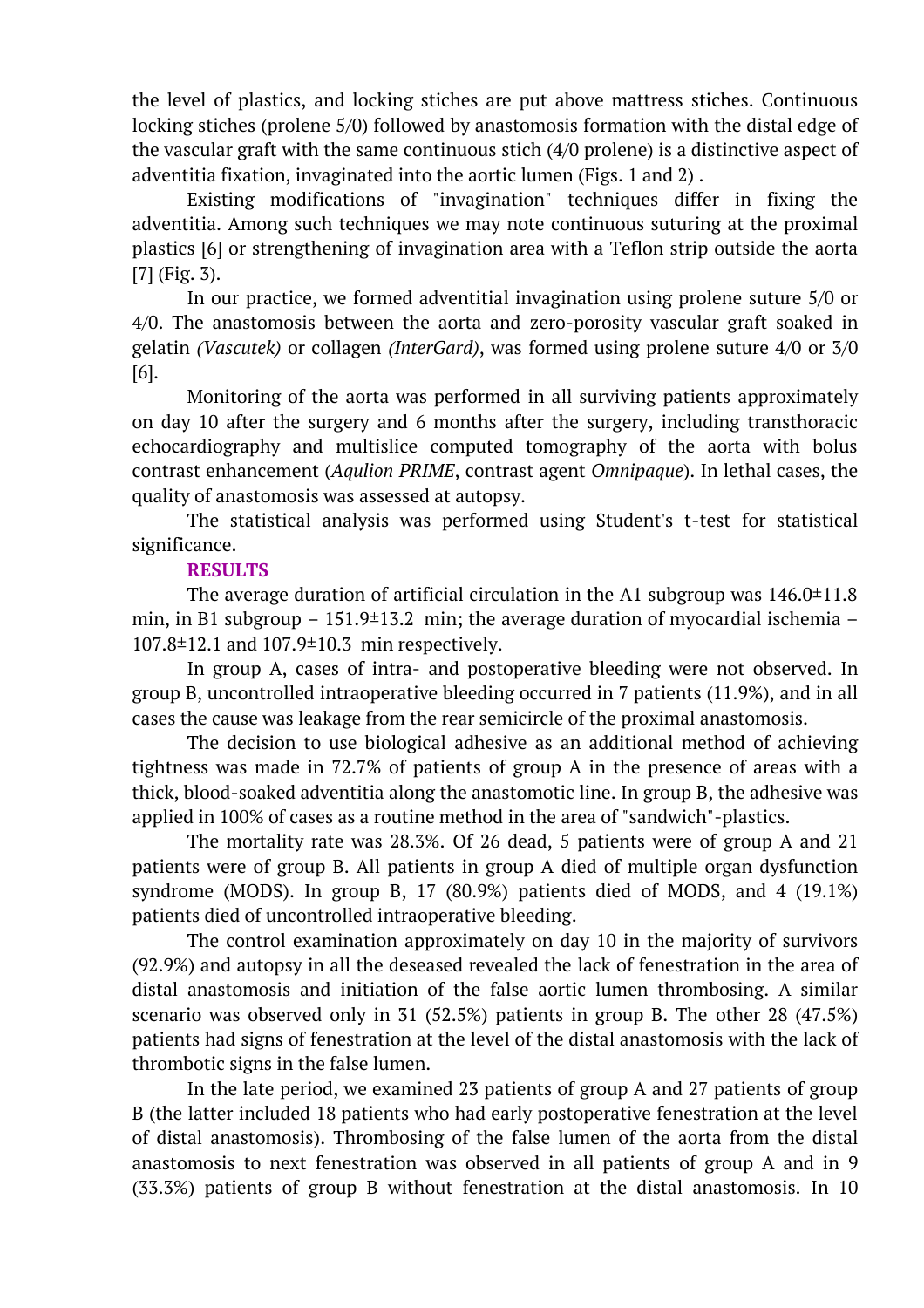the level of plastics, and locking stiches are put above mattress stiches. Continuous locking stiches (prolene 5/0) followed by anastomosis formation with the distal edge of the vascular graft with the same continuous stich (4/0 prolene) is a distinctive aspect of adventitia fixation, invaginated into the aortic lumen (Figs. 1 and 2) .

Existing modifications of "invagination" techniques differ in fixing the adventitia. Among such techniques we may note continuous suturing at the proximal plastics [6] or strengthening of invagination area with a Teflon strip outside the aorta [7] (Fig. 3).

In our practice, we formed adventitial invagination using prolene suture 5/0 or 4/0. The anastomosis between the aorta and zero-porosity vascular graft soaked in gelatin *(Vascutek)* or collagen *(InterGard)*, was formed using prolene suture 4/0 or 3/0 [6].

Monitoring of the aorta was performed in all surviving patients approximately on day 10 after the surgery and 6 months after the surgery, including transthoracic echocardiography and multislice computed tomography of the aorta with bolus contrast enhancement (*Aqulion PRIME*, contrast agent *Omnipaque*). In lethal cases, the quality of anastomosis was assessed at autopsy.

The statistical analysis was performed using Student's t-test for statistical significance.

# **RESULTS**

The average duration of artificial circulation in the A1 subgroup was  $146.0\pm11.8$ min, in B1 subgroup  $-151.9\pm13.2$  min; the average duration of myocardial ischemia  $-$ 107.8±12.1 and 107.9±10.3 min respectively.

In group A, cases of intra- and postoperative bleeding were not observed. In group B, uncontrolled intraoperative bleeding occurred in 7 patients (11.9%), and in all cases the cause was leakage from the rear semicircle of the proximal anastomosis.

The decision to use biological adhesive as an additional method of achieving tightness was made in 72.7% of patients of group A in the presence of areas with a thick, blood-soaked adventitia along the anastomotic line. In group B, the adhesive was applied in 100% of cases as a routine method in the area of "sandwich"-plastics.

The mortality rate was 28.3%. Of 26 dead, 5 patients were of group A and 21 patients were of group B. All patients in group A died of multiple organ dysfunction syndrome (MODS). In group B, 17 (80.9%) patients died of MODS, and 4 (19.1%) patients died of uncontrolled intraoperative bleeding.

The control examination approximately on day 10 in the majority of survivors (92.9%) and autopsy in all the deseased revealed the lack of fenestration in the area of distal anastomosis and initiation of the false aortic lumen thrombosing. A similar scenario was observed only in 31 (52.5%) patients in group B. The other 28 (47.5%) patients had signs of fenestration at the level of the distal anastomosis with the lack of thrombotic signs in the false lumen.

In the late period, we examined 23 patients of group A and 27 patients of group B (the latter included 18 patients who had early postoperative fenestration at the level of distal anastomosis). Thrombosing of the false lumen of the aorta from the distal anastomosis to next fenestration was observed in all patients of group A and in 9 (33.3%) patients of group B without fenestration at the distal anastomosis. In 10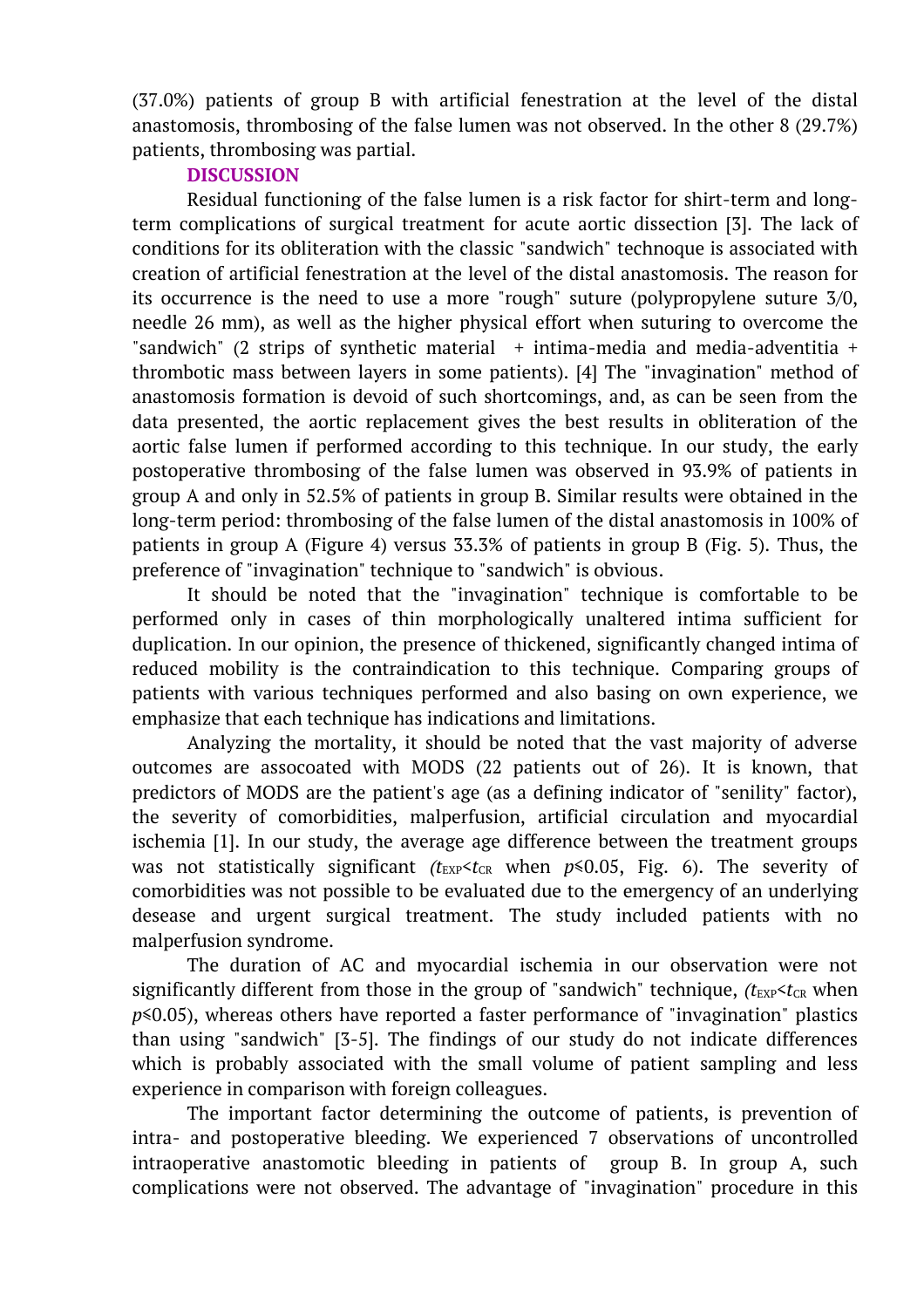(37.0%) patients of group B with artificial fenestration at the level of the distal anastomosis, thrombosing of the false lumen was not observed. In the other 8 (29.7%) patients, thrombosing was partial.

# **DISCUSSION**

Residual functioning of the false lumen is a risk factor for shirt-term and longterm complications of surgical treatment for acute aortic dissection [3]. The lack of conditions for its obliteration with the classic "sandwich" technoque is associated with creation of artificial fenestration at the level of the distal anastomosis. The reason for its occurrence is the need to use a more "rough" suture (polypropylene suture 3/0, needle 26 mm), as well as the higher physical effort when suturing to overcome the "sandwich" (2 strips of synthetic material  $+$  intima-media and media-adventitia  $+$ thrombotic mass between layers in some patients). [4] The "invagination" method of anastomosis formation is devoid of such shortcomings, and, as can be seen from the data presented, the aortic replacement gives the best results in obliteration of the aortic false lumen if performed according to this technique. In our study, the early postoperative thrombosing of the false lumen was observed in 93.9% of patients in group A and only in 52.5% of patients in group B. Similar results were obtained in the long-term period: thrombosing of the false lumen of the distal anastomosis in 100% of patients in group A (Figure 4) versus 33.3% of patients in group B (Fig. 5). Thus, the preference of "invagination" technique to "sandwich" is obvious.

It should be noted that the "invagination" technique is comfortable to be performed only in cases of thin morphologically unaltered intima sufficient for duplication. In our opinion, the presence of thickened, significantly changed intima of reduced mobility is the contraindication to this technique. Comparing groups of patients with various techniques performed and also basing on own experience, we emphasize that each technique has indications and limitations.

Analyzing the mortality, it should be noted that the vast majority of adverse outcomes are assocoated with MODS (22 patients out of 26). It is known, that predictors of MODS are the patient's age (as a defining indicator of "senility" factor), the severity of comorbidities, malperfusion, artificial circulation and myocardial ischemia [1]. In our study, the average age difference between the treatment groups was not statistically significant  $(t_{\text{EXP}}< t_{\text{CR}}$  when  $p \le 0.05$ , Fig. 6). The severity of comorbidities was not possible to be evaluated due to the emergency of an underlying desease and urgent surgical treatment. The study included patients with no malperfusion syndrome.

The duration of AC and myocardial ischemia in our observation were not significantly different from those in the group of "sandwich" technique,  $(t_{\text{EXP}} < t_{\text{CR}}$  when *p*≤0.05), whereas others have reported a faster performance of "invagination" plastics than using "sandwich" [3-5]. The findings of our study do not indicate differences which is probably associated with the small volume of patient sampling and less experience in comparison with foreign colleagues.

The important factor determining the outcome of patients, is prevention of intra- and postoperative bleeding. We experienced 7 observations of uncontrolled intraoperative anastomotic bleeding in patients of group B. In group A, such complications were not observed. The advantage of "invagination" procedure in this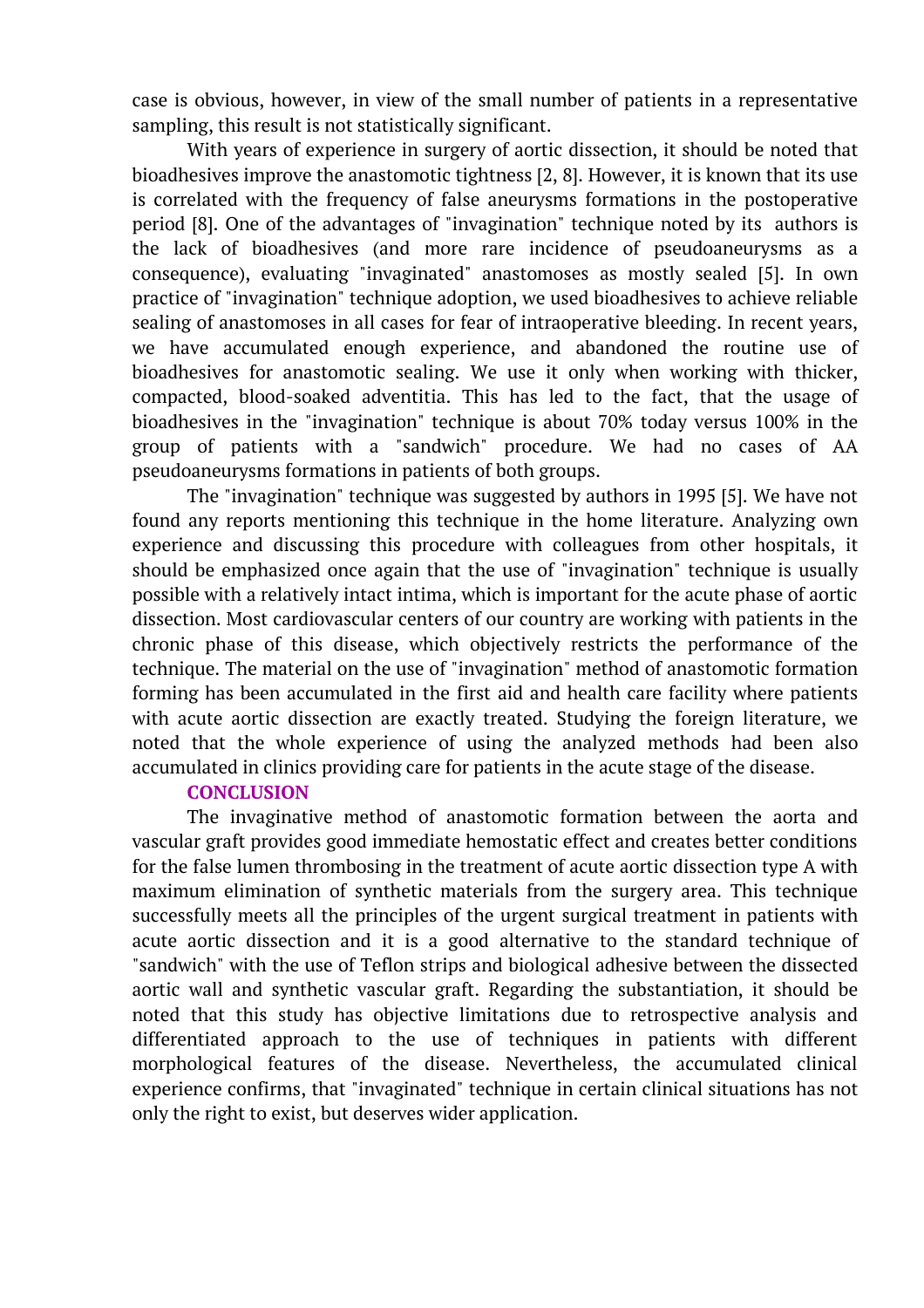case is obvious, however, in view of the small number of patients in a representative sampling, this result is not statistically significant.

With years of experience in surgery of aortic dissection, it should be noted that bioadhesives improve the anastomotic tightness [2, 8]. However, it is known that its use is correlated with the frequency of false aneurysms formations in the postoperative period [8]. One of the advantages of "invagination" technique noted by its authors is the lack of bioadhesives (and more rare incidence of pseudoaneurysms as a consequence), evaluating "invaginated" anastomoses as mostly sealed [5]. In own practice of "invagination" technique adoption, we used bioadhesives to achieve reliable sealing of anastomoses in all cases for fear of intraoperative bleeding. In recent years, we have accumulated enough experience, and abandoned the routine use of bioadhesives for anastomotic sealing. We use it only when working with thicker, compacted, blood-soaked adventitia. This has led to the fact, that the usage of bioadhesives in the "invagination" technique is about 70% today versus 100% in the group of patients with a "sandwich" procedure. We had no cases of AA pseudoaneurysms formations in patients of both groups.

The "invagination" technique was suggested by authors in 1995 [5]. We have not found any reports mentioning this technique in the home literature. Analyzing own experience and discussing this procedure with colleagues from other hospitals, it should be emphasized once again that the use of "invagination" technique is usually possible with a relatively intact intima, which is important for the acute phase of aortic dissection. Most cardiovascular centers of our country are working with patients in the chronic phase of this disease, which objectively restricts the performance of the technique. The material on the use of "invagination" method of anastomotic formation forming has been accumulated in the first aid and health care facility where patients with acute aortic dissection are exactly treated. Studying the foreign literature, we noted that the whole experience of using the analyzed methods had been also accumulated in clinics providing care for patients in the acute stage of the disease.

### **CONCLUSION**

The invaginative method of anastomotic formation between the aorta and vascular graft provides good immediate hemostatic effect and creates better conditions for the false lumen thrombosing in the treatment of acute aortic dissection type A with maximum elimination of synthetic materials from the surgery area. This technique successfully meets all the principles of the urgent surgical treatment in patients with acute aortic dissection and it is a good alternative to the standard technique of "sandwich" with the use of Teflon strips and biological adhesive between the dissected aortic wall and synthetic vascular graft. Regarding the substantiation, it should be noted that this study has objective limitations due to retrospective analysis and differentiated approach to the use of techniques in patients with different morphological features of the disease. Nevertheless, the accumulated clinical experience confirms, that "invaginated" technique in certain clinical situations has not only the right to exist, but deserves wider application.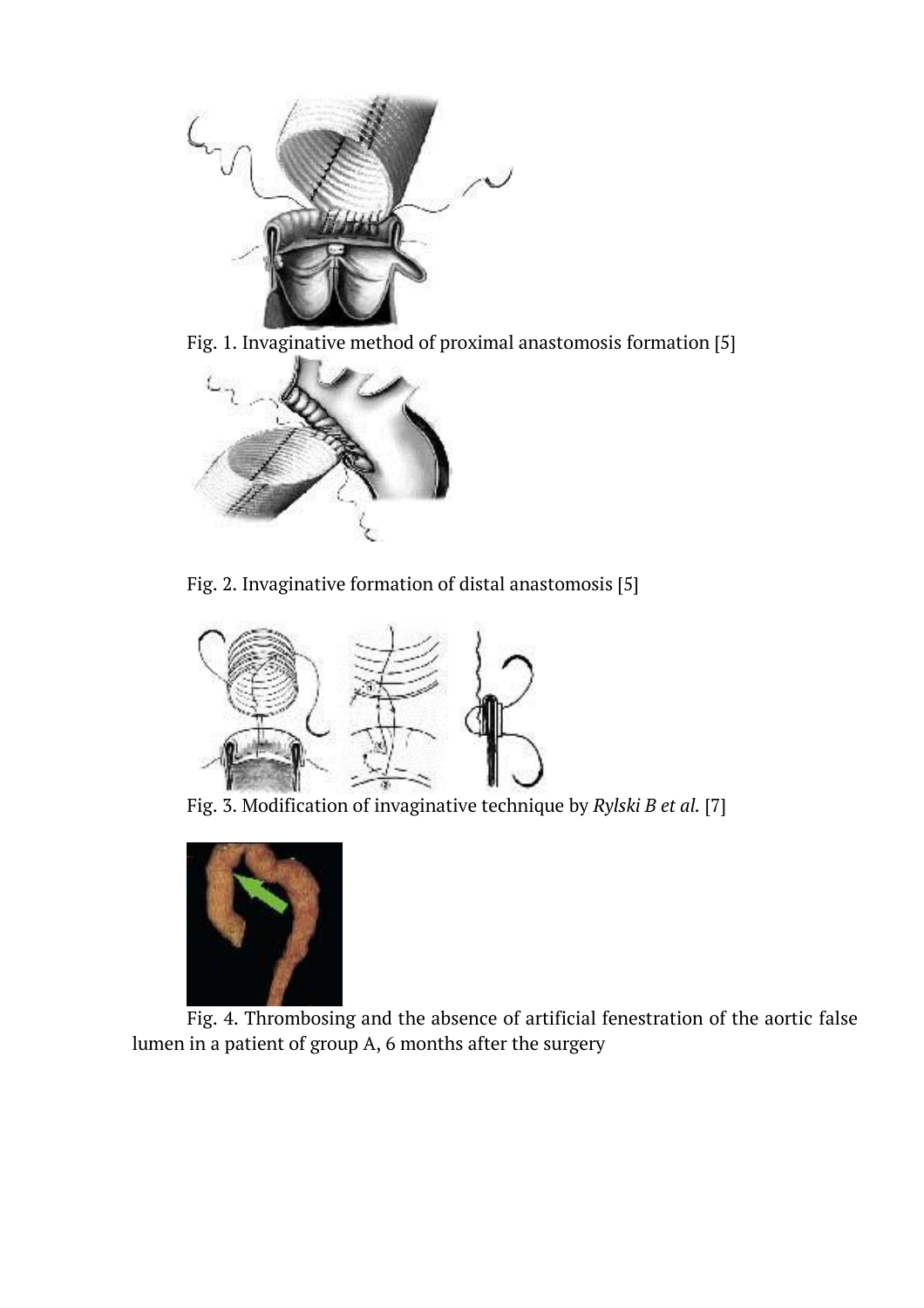

Fig. 1. Invaginative method of proximal anastomosis formation [5]



Fig. 2. Invaginative formation of distal anastomosis [5]



Fig. 3. Modification of invaginative technique by *Rylski B et al.* [7]



Fig. 4. Thrombosing and the absence of artificial fenestration of the aortic false lumen in a patient of group A, 6 months after the surgery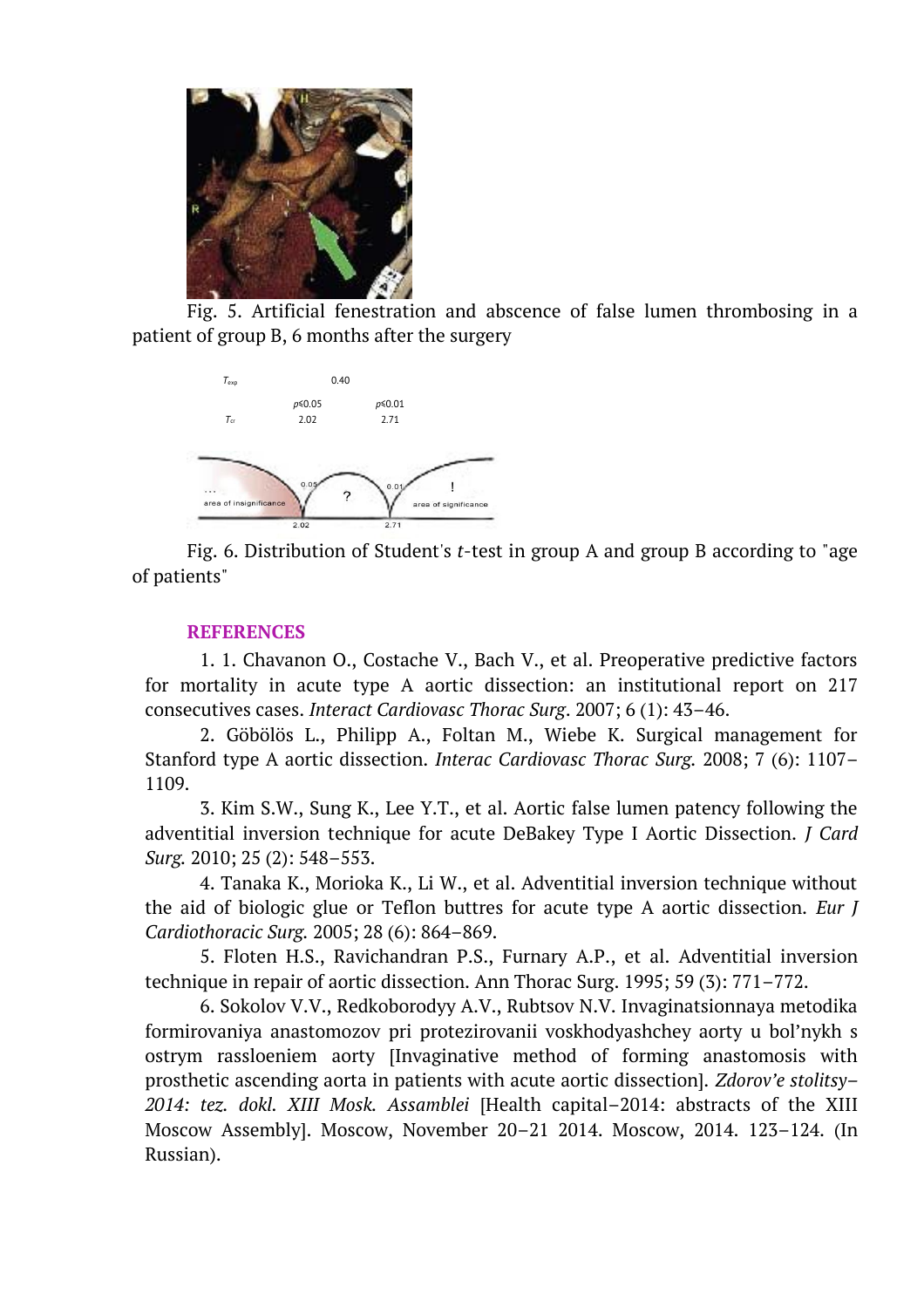

Fig. 5. Artificial fenestration and abscence of false lumen thrombosing in a patient of group B, 6 months after the surgery



Fig. 6. Distribution of Student's *t*-test in group A and group B according to "age of patients"

## **REFERENCES**

1. 1. Chavanon O., Costache V., Bach V., et al. Preoperative predictive factors for mortality in acute type A aortic dissection: an institutional report on 217 consecutives cases. *Interact Cardiovasc Thorac Surg*. 2007; 6 (1): 43–46.

2. Göbölös L., Philipp A., Foltan M., Wiebe K. Surgical management for Stanford type A aortic dissection. *Interac Cardiovasc Thorac Surg.* 2008; 7 (6): 1107– 1109.

3. Kim S.W., Sung K., Lee Y.T., et al. Aortic false lumen patency following the adventitial inversion technique for acute DeBakey Type I Aortic Dissection. *J Card Surg.* 2010; 25 (2): 548–553.

4. Tanaka K., Morioka K., Li W., et al. Adventitial inversion technique without the aid of biologic glue or Teflon buttres for acute type A aortic dissection. *Eur J Cardiothoracic Surg.* 2005; 28 (6): 864–869.

5. Floten H.S., Ravichandran P.S., Furnary A.P., et al. Adventitial inversion technique in repair of aortic dissection. Ann Thorac Surg. 1995; 59 (3): 771–772.

6. Sokolov V.V., Redkoborodyy A.V., Rubtsov N.V. Invaginatsionnaya metodika formirovaniya anastomozov pri protezirovanii voskhodyashchey aorty u bol'nykh s ostrym rassloeniem aorty [Invaginative method of forming anastomosis with prosthetic ascending aorta in patients with acute aortic dissection]. *Zdorov'e stolitsy– 2014: tez. dokl. XIII Mosk. Assamblei* [Health capital–2014: abstracts of the XIII Moscow Assembly]. Moscow, November 20–21 2014. Moscow, 2014. 123–124. (In Russian).